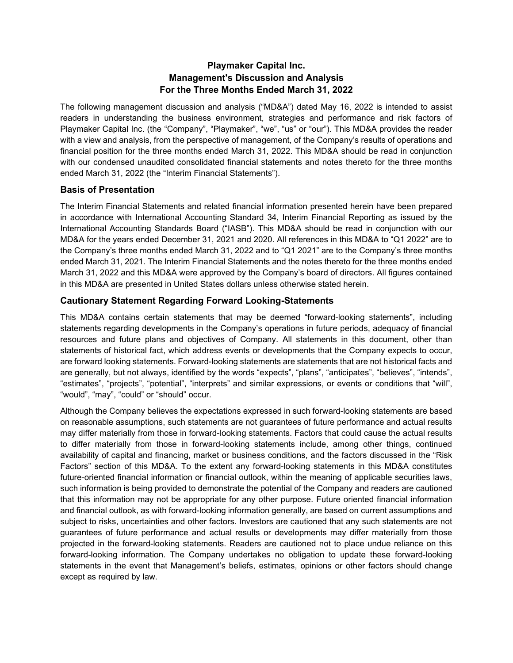## **Playmaker Capital Inc. Management's Discussion and Analysis For the Three Months Ended March 31, 2022**

The following management discussion and analysis ("MD&A") dated May 16, 2022 is intended to assist readers in understanding the business environment, strategies and performance and risk factors of Playmaker Capital Inc. (the "Company", "Playmaker", "we", "us" or "our"). This MD&A provides the reader with a view and analysis, from the perspective of management, of the Company's results of operations and financial position for the three months ended March 31, 2022. This MD&A should be read in conjunction with our condensed unaudited consolidated financial statements and notes thereto for the three months ended March 31, 2022 (the "Interim Financial Statements").

## **Basis of Presentation**

The Interim Financial Statements and related financial information presented herein have been prepared in accordance with International Accounting Standard 34, Interim Financial Reporting as issued by the International Accounting Standards Board ("IASB"). This MD&A should be read in conjunction with our MD&A for the years ended December 31, 2021 and 2020. All references in this MD&A to "Q1 2022" are to the Company's three months ended March 31, 2022 and to "Q1 2021" are to the Company's three months ended March 31, 2021. The Interim Financial Statements and the notes thereto for the three months ended March 31, 2022 and this MD&A were approved by the Company's board of directors. All figures contained in this MD&A are presented in United States dollars unless otherwise stated herein.

### **Cautionary Statement Regarding Forward Looking-Statements**

This MD&A contains certain statements that may be deemed "forward-looking statements", including statements regarding developments in the Company's operations in future periods, adequacy of financial resources and future plans and objectives of Company. All statements in this document, other than statements of historical fact, which address events or developments that the Company expects to occur, are forward looking statements. Forward-looking statements are statements that are not historical facts and are generally, but not always, identified by the words "expects", "plans", "anticipates", "believes", "intends", "estimates", "projects", "potential", "interprets" and similar expressions, or events or conditions that "will", "would", "may", "could" or "should" occur.

Although the Company believes the expectations expressed in such forward-looking statements are based on reasonable assumptions, such statements are not guarantees of future performance and actual results may differ materially from those in forward-looking statements. Factors that could cause the actual results to differ materially from those in forward-looking statements include, among other things, continued availability of capital and financing, market or business conditions, and the factors discussed in the "Risk Factors" section of this MD&A. To the extent any forward-looking statements in this MD&A constitutes future-oriented financial information or financial outlook, within the meaning of applicable securities laws, such information is being provided to demonstrate the potential of the Company and readers are cautioned that this information may not be appropriate for any other purpose. Future oriented financial information and financial outlook, as with forward-looking information generally, are based on current assumptions and subject to risks, uncertainties and other factors. Investors are cautioned that any such statements are not guarantees of future performance and actual results or developments may differ materially from those projected in the forward-looking statements. Readers are cautioned not to place undue reliance on this forward-looking information. The Company undertakes no obligation to update these forward-looking statements in the event that Management's beliefs, estimates, opinions or other factors should change except as required by law.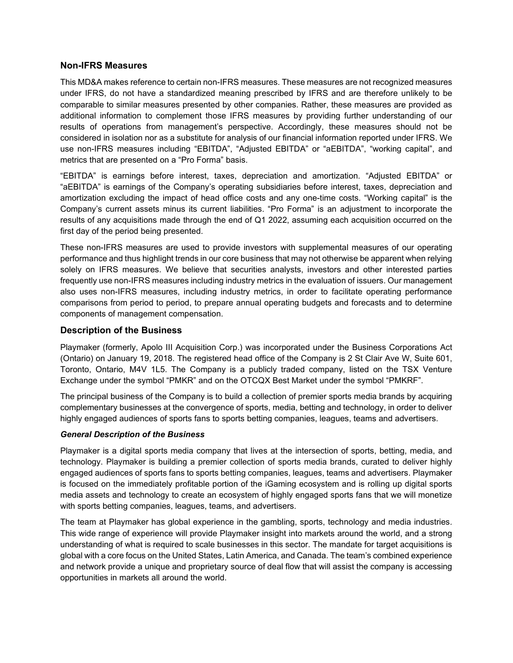#### **Non-IFRS Measures**

This MD&A makes reference to certain non-IFRS measures. These measures are not recognized measures under IFRS, do not have a standardized meaning prescribed by IFRS and are therefore unlikely to be comparable to similar measures presented by other companies. Rather, these measures are provided as additional information to complement those IFRS measures by providing further understanding of our results of operations from management's perspective. Accordingly, these measures should not be considered in isolation nor as a substitute for analysis of our financial information reported under IFRS. We use non-IFRS measures including "EBITDA", "Adjusted EBITDA" or "aEBITDA", "working capital", and metrics that are presented on a "Pro Forma" basis.

"EBITDA" is earnings before interest, taxes, depreciation and amortization. "Adjusted EBITDA" or "aEBITDA" is earnings of the Company's operating subsidiaries before interest, taxes, depreciation and amortization excluding the impact of head office costs and any one-time costs. "Working capital" is the Company's current assets minus its current liabilities. "Pro Forma" is an adjustment to incorporate the results of any acquisitions made through the end of Q1 2022, assuming each acquisition occurred on the first day of the period being presented.

These non-IFRS measures are used to provide investors with supplemental measures of our operating performance and thus highlight trends in our core business that may not otherwise be apparent when relying solely on IFRS measures. We believe that securities analysts, investors and other interested parties frequently use non-IFRS measures including industry metrics in the evaluation of issuers. Our management also uses non-IFRS measures, including industry metrics, in order to facilitate operating performance comparisons from period to period, to prepare annual operating budgets and forecasts and to determine components of management compensation.

#### **Description of the Business**

Playmaker (formerly, Apolo III Acquisition Corp.) was incorporated under the Business Corporations Act (Ontario) on January 19, 2018. The registered head office of the Company is 2 St Clair Ave W, Suite 601, Toronto, Ontario, M4V 1L5. The Company is a publicly traded company, listed on the TSX Venture Exchange under the symbol "PMKR" and on the OTCQX Best Market under the symbol "PMKRF".

The principal business of the Company is to build a collection of premier sports media brands by acquiring complementary businesses at the convergence of sports, media, betting and technology, in order to deliver highly engaged audiences of sports fans to sports betting companies, leagues, teams and advertisers.

#### *General Description of the Business*

Playmaker is a digital sports media company that lives at the intersection of sports, betting, media, and technology. Playmaker is building a premier collection of sports media brands, curated to deliver highly engaged audiences of sports fans to sports betting companies, leagues, teams and advertisers. Playmaker is focused on the immediately profitable portion of the iGaming ecosystem and is rolling up digital sports media assets and technology to create an ecosystem of highly engaged sports fans that we will monetize with sports betting companies, leagues, teams, and advertisers.

The team at Playmaker has global experience in the gambling, sports, technology and media industries. This wide range of experience will provide Playmaker insight into markets around the world, and a strong understanding of what is required to scale businesses in this sector. The mandate for target acquisitions is global with a core focus on the United States, Latin America, and Canada. The team's combined experience and network provide a unique and proprietary source of deal flow that will assist the company is accessing opportunities in markets all around the world.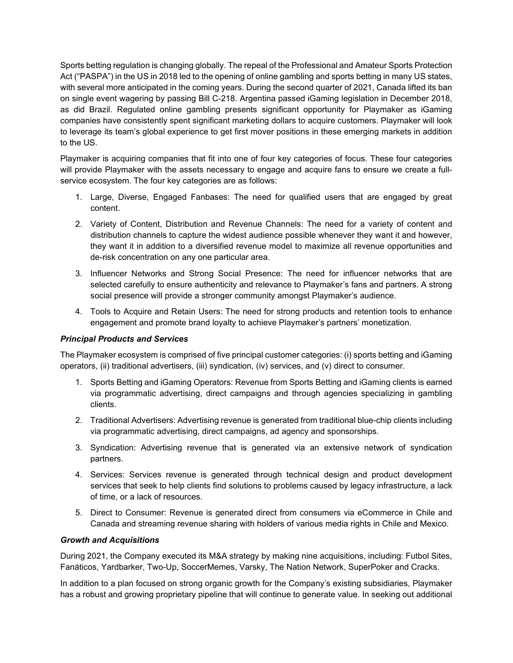Sports betting regulation is changing globally. The repeal of the Professional and Amateur Sports Protection Act ("PASPA") in the US in 2018 led to the opening of online gambling and sports betting in many US states, with several more anticipated in the coming years. During the second quarter of 2021, Canada lifted its ban on single event wagering by passing Bill C-218. Argentina passed iGaming legislation in December 2018, as did Brazil. Regulated online gambling presents significant opportunity for Playmaker as iGaming companies have consistently spent significant marketing dollars to acquire customers. Playmaker will look to leverage its team's global experience to get first mover positions in these emerging markets in addition to the US.

Playmaker is acquiring companies that fit into one of four key categories of focus. These four categories will provide Playmaker with the assets necessary to engage and acquire fans to ensure we create a fullservice ecosystem. The four key categories are as follows:

- 1. Large, Diverse, Engaged Fanbases: The need for qualified users that are engaged by great content.
- 2. Variety of Content, Distribution and Revenue Channels: The need for a variety of content and distribution channels to capture the widest audience possible whenever they want it and however, they want it in addition to a diversified revenue model to maximize all revenue opportunities and de-risk concentration on any one particular area.
- 3. Influencer Networks and Strong Social Presence: The need for influencer networks that are selected carefully to ensure authenticity and relevance to Playmaker's fans and partners. A strong social presence will provide a stronger community amongst Playmaker's audience.
- 4. Tools to Acquire and Retain Users: The need for strong products and retention tools to enhance engagement and promote brand loyalty to achieve Playmaker's partners' monetization.

### *Principal Products and Services*

The Playmaker ecosystem is comprised of five principal customer categories: (i) sports betting and iGaming operators, (ii) traditional advertisers, (iii) syndication, (iv) services, and (v) direct to consumer.

- 1. Sports Betting and iGaming Operators: Revenue from Sports Betting and iGaming clients is earned via programmatic advertising, direct campaigns and through agencies specializing in gambling clients.
- 2. Traditional Advertisers: Advertising revenue is generated from traditional blue-chip clients including via programmatic advertising, direct campaigns, ad agency and sponsorships.
- 3. Syndication: Advertising revenue that is generated via an extensive network of syndication partners.
- 4. Services: Services revenue is generated through technical design and product development services that seek to help clients find solutions to problems caused by legacy infrastructure, a lack of time, or a lack of resources.
- 5. Direct to Consumer: Revenue is generated direct from consumers via eCommerce in Chile and Canada and streaming revenue sharing with holders of various media rights in Chile and Mexico.

#### *Growth and Acquisitions*

During 2021, the Company executed its M&A strategy by making nine acquisitions, including: Futbol Sites, Fanáticos, Yardbarker, Two-Up, SoccerMemes, Varsky, The Nation Network, SuperPoker and Cracks.

In addition to a plan focused on strong organic growth for the Company's existing subsidiaries, Playmaker has a robust and growing proprietary pipeline that will continue to generate value. In seeking out additional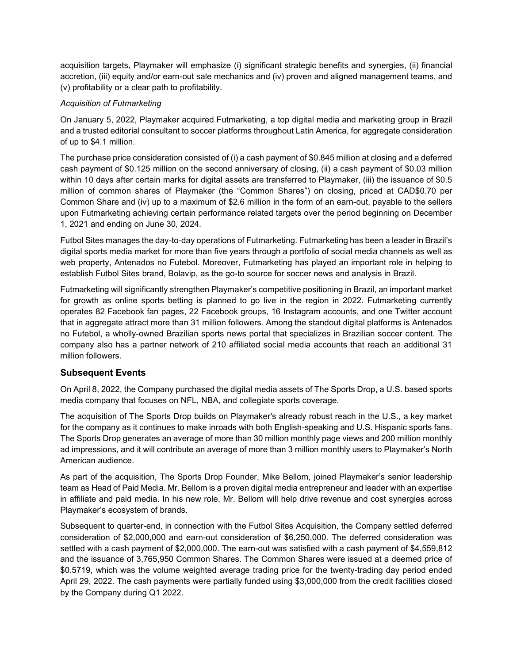acquisition targets, Playmaker will emphasize (i) significant strategic benefits and synergies, (ii) financial accretion, (iii) equity and/or earn-out sale mechanics and (iv) proven and aligned management teams, and (v) profitability or a clear path to profitability.

### *Acquisition of Futmarketing*

On January 5, 2022, Playmaker acquired Futmarketing, a top digital media and marketing group in Brazil and a trusted editorial consultant to soccer platforms throughout Latin America, for aggregate consideration of up to \$4.1 million.

The purchase price consideration consisted of (i) a cash payment of \$0.845 million at closing and a deferred cash payment of \$0.125 million on the second anniversary of closing, (ii) a cash payment of \$0.03 million within 10 days after certain marks for digital assets are transferred to Playmaker, (iii) the issuance of \$0.5 million of common shares of Playmaker (the "Common Shares") on closing, priced at CAD\$0.70 per Common Share and (iv) up to a maximum of \$2.6 million in the form of an earn-out, payable to the sellers upon Futmarketing achieving certain performance related targets over the period beginning on December 1, 2021 and ending on June 30, 2024.

Futbol Sites manages the day-to-day operations of Futmarketing. Futmarketing has been a leader in Brazil's digital sports media market for more than five years through a portfolio of social media channels as well as web property, Antenados no Futebol. Moreover, Futmarketing has played an important role in helping to establish Futbol Sites brand, Bolavip, as the go-to source for soccer news and analysis in Brazil.

Futmarketing will significantly strengthen Playmaker's competitive positioning in Brazil, an important market for growth as online sports betting is planned to go live in the region in 2022. Futmarketing currently operates 82 Facebook fan pages, 22 Facebook groups, 16 Instagram accounts, and one Twitter account that in aggregate attract more than 31 million followers. Among the standout digital platforms is Antenados no Futebol, a wholly-owned Brazilian sports news portal that specializes in Brazilian soccer content. The company also has a partner network of 210 affiliated social media accounts that reach an additional 31 million followers.

## **Subsequent Events**

On April 8, 2022, the Company purchased the digital media assets of The Sports Drop, a U.S. based sports media company that focuses on NFL, NBA, and collegiate sports coverage.

The acquisition of The Sports Drop builds on Playmaker's already robust reach in the U.S., a key market for the company as it continues to make inroads with both English-speaking and U.S. Hispanic sports fans. The Sports Drop generates an average of more than 30 million monthly page views and 200 million monthly ad impressions, and it will contribute an average of more than 3 million monthly users to Playmaker's North American audience.

As part of the acquisition, The Sports Drop Founder, Mike Bellom, joined Playmaker's senior leadership team as Head of Paid Media. Mr. Bellom is a proven digital media entrepreneur and leader with an expertise in affiliate and paid media. In his new role, Mr. Bellom will help drive revenue and cost synergies across Playmaker's ecosystem of brands.

Subsequent to quarter-end, in connection with the Futbol Sites Acquisition, the Company settled deferred consideration of \$2,000,000 and earn-out consideration of \$6,250,000. The deferred consideration was settled with a cash payment of \$2,000,000. The earn-out was satisfied with a cash payment of \$4,559,812 and the issuance of 3,765,950 Common Shares. The Common Shares were issued at a deemed price of \$0.5719, which was the volume weighted average trading price for the twenty-trading day period ended April 29, 2022. The cash payments were partially funded using \$3,000,000 from the credit facilities closed by the Company during Q1 2022.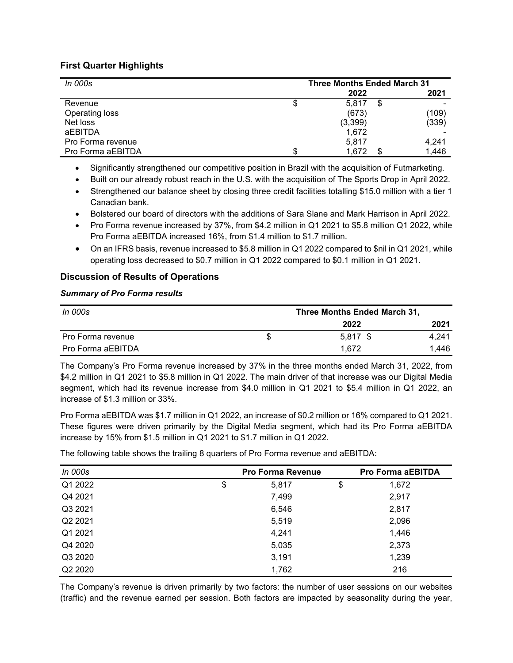## **First Quarter Highlights**

| <i>In 000s</i>    | <b>Three Months Ended March 31</b> |          |   |       |  |
|-------------------|------------------------------------|----------|---|-------|--|
|                   |                                    | 2022     |   | 2021  |  |
| Revenue           | Φ                                  | 5.817    | S |       |  |
| Operating loss    |                                    | (673)    |   | (109) |  |
| Net loss          |                                    | (3, 399) |   | (339) |  |
| aEBITDA           |                                    | 1,672    |   |       |  |
| Pro Forma revenue |                                    | 5,817    |   | 4,241 |  |
| Pro Forma aEBITDA |                                    | 1.672    |   | 1,446 |  |

• Significantly strengthened our competitive position in Brazil with the acquisition of Futmarketing.

• Built on our already robust reach in the U.S. with the acquisition of The Sports Drop in April 2022.

- Strengthened our balance sheet by closing three credit facilities totalling \$15.0 million with a tier 1 Canadian bank.
- Bolstered our board of directors with the additions of Sara Slane and Mark Harrison in April 2022.
- Pro Forma revenue increased by 37%, from \$4.2 million in Q1 2021 to \$5.8 million Q1 2022, while Pro Forma aEBITDA increased 16%, from \$1.4 million to \$1.7 million.
- On an IFRS basis, revenue increased to \$5.8 million in Q1 2022 compared to \$nil in Q1 2021, while operating loss decreased to \$0.7 million in Q1 2022 compared to \$0.1 million in Q1 2021.

## **Discussion of Results of Operations**

#### *Summary of Pro Forma results*

| In 000s           | Three Months Ended March 31, |            |       |
|-------------------|------------------------------|------------|-------|
|                   |                              | 2022       | 2021  |
| Pro Forma revenue |                              | $5.817$ \$ | 4.241 |
| Pro Forma aEBITDA |                              | 1.672      | 1.446 |

The Company's Pro Forma revenue increased by 37% in the three months ended March 31, 2022, from \$4.2 million in Q1 2021 to \$5.8 million in Q1 2022. The main driver of that increase was our Digital Media segment, which had its revenue increase from \$4.0 million in Q1 2021 to \$5.4 million in Q1 2022, an increase of \$1.3 million or 33%.

Pro Forma aEBITDA was \$1.7 million in Q1 2022, an increase of \$0.2 million or 16% compared to Q1 2021. These figures were driven primarily by the Digital Media segment, which had its Pro Forma aEBITDA increase by 15% from \$1.5 million in Q1 2021 to \$1.7 million in Q1 2022.

The following table shows the trailing 8 quarters of Pro Forma revenue and aEBITDA:

| In 000s             | <b>Pro Forma Revenue</b> | <b>Pro Forma aEBITDA</b> |
|---------------------|--------------------------|--------------------------|
| Q1 2022             | \$<br>5,817              | \$<br>1,672              |
| Q4 2021             | 7,499                    | 2,917                    |
| Q3 2021             | 6,546                    | 2,817                    |
| Q2 2021             | 5,519                    | 2,096                    |
| Q1 2021             | 4,241                    | 1,446                    |
| Q4 2020             | 5,035                    | 2,373                    |
| Q3 2020             | 3,191                    | 1,239                    |
| Q <sub>2</sub> 2020 | 1,762                    | 216                      |

The Company's revenue is driven primarily by two factors: the number of user sessions on our websites (traffic) and the revenue earned per session. Both factors are impacted by seasonality during the year,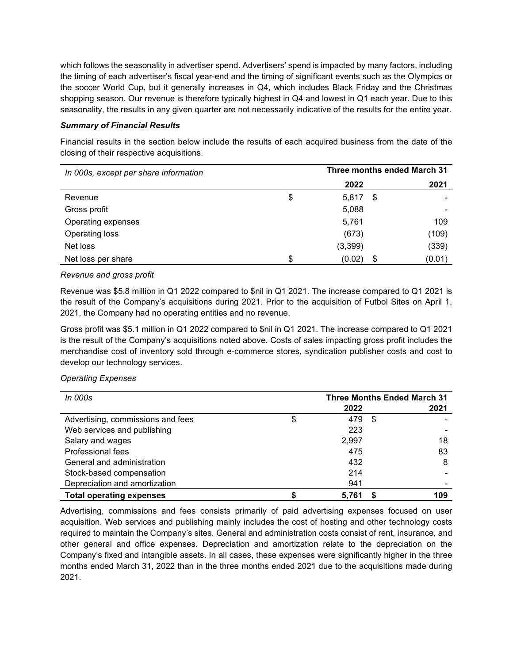which follows the seasonality in advertiser spend. Advertisers' spend is impacted by many factors, including the timing of each advertiser's fiscal year-end and the timing of significant events such as the Olympics or the soccer World Cup, but it generally increases in Q4, which includes Black Friday and the Christmas shopping season. Our revenue is therefore typically highest in Q4 and lowest in Q1 each year. Due to this seasonality, the results in any given quarter are not necessarily indicative of the results for the entire year.

#### *Summary of Financial Results*

Financial results in the section below include the results of each acquired business from the date of the closing of their respective acquisitions.

| In 000s, except per share information |     | Three months ended March 31 |      |        |  |
|---------------------------------------|-----|-----------------------------|------|--------|--|
|                                       |     | 2022                        |      | 2021   |  |
| Revenue                               | \$  | 5,817                       | - \$ |        |  |
| Gross profit                          |     | 5,088                       |      |        |  |
| Operating expenses                    |     | 5,761                       |      | 109    |  |
| Operating loss                        |     | (673)                       |      | (109)  |  |
| Net loss                              |     | (3, 399)                    |      | (339)  |  |
| Net loss per share                    | \$. | (0.02)                      | \$   | (0.01) |  |

#### *Revenue and gross profit*

Revenue was \$5.8 million in Q1 2022 compared to \$nil in Q1 2021. The increase compared to Q1 2021 is the result of the Company's acquisitions during 2021. Prior to the acquisition of Futbol Sites on April 1, 2021, the Company had no operating entities and no revenue.

Gross profit was \$5.1 million in Q1 2022 compared to \$nil in Q1 2021. The increase compared to Q1 2021 is the result of the Company's acquisitions noted above. Costs of sales impacting gross profit includes the merchandise cost of inventory sold through e-commerce stores, syndication publisher costs and cost to develop our technology services.

### *Operating Expenses*

| <i>In 000s</i>                    | <b>Three Months Ended March 31</b> |       |      |      |
|-----------------------------------|------------------------------------|-------|------|------|
|                                   |                                    | 2022  |      | 2021 |
| Advertising, commissions and fees | \$                                 | 479   | - \$ |      |
| Web services and publishing       |                                    | 223   |      |      |
| Salary and wages                  |                                    | 2,997 |      | 18   |
| Professional fees                 |                                    | 475   |      | 83   |
| General and administration        |                                    | 432   |      | 8    |
| Stock-based compensation          |                                    | 214   |      |      |
| Depreciation and amortization     |                                    | 941   |      |      |
| <b>Total operating expenses</b>   |                                    | 5,761 |      | 109  |

Advertising, commissions and fees consists primarily of paid advertising expenses focused on user acquisition. Web services and publishing mainly includes the cost of hosting and other technology costs required to maintain the Company's sites. General and administration costs consist of rent, insurance, and other general and office expenses. Depreciation and amortization relate to the depreciation on the Company's fixed and intangible assets. In all cases, these expenses were significantly higher in the three months ended March 31, 2022 than in the three months ended 2021 due to the acquisitions made during 2021.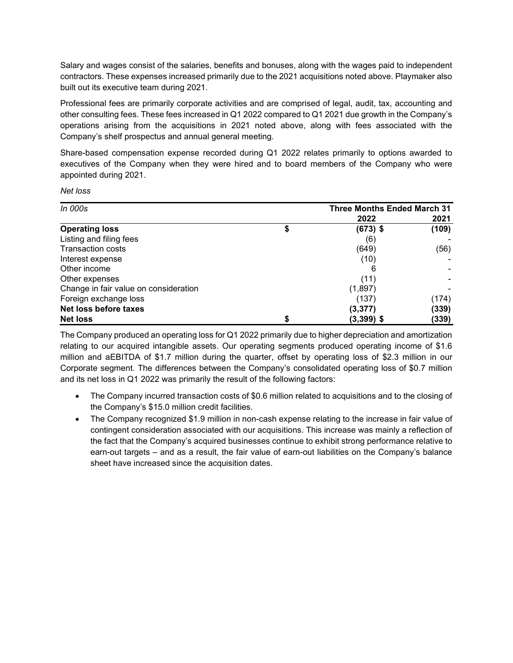Salary and wages consist of the salaries, benefits and bonuses, along with the wages paid to independent contractors. These expenses increased primarily due to the 2021 acquisitions noted above. Playmaker also built out its executive team during 2021.

Professional fees are primarily corporate activities and are comprised of legal, audit, tax, accounting and other consulting fees. These fees increased in Q1 2022 compared to Q1 2021 due growth in the Company's operations arising from the acquisitions in 2021 noted above, along with fees associated with the Company's shelf prospectus and annual general meeting.

Share-based compensation expense recorded during Q1 2022 relates primarily to options awarded to executives of the Company when they were hired and to board members of the Company who were appointed during 2021.

| Net loss |
|----------|
|----------|

| <i>In 000s</i>                        | <b>Three Months Ended March 31</b> |       |
|---------------------------------------|------------------------------------|-------|
|                                       | 2022                               | 2021  |
| <b>Operating loss</b>                 | $(673)$ \$                         | (109) |
| Listing and filing fees               | (6)                                |       |
| <b>Transaction costs</b>              | (649)                              | (56)  |
| Interest expense                      | (10)                               |       |
| Other income                          |                                    |       |
| Other expenses                        | (11)                               |       |
| Change in fair value on consideration | (1,897)                            |       |
| Foreign exchange loss                 | (137)                              | (174) |
| Net loss before taxes                 | (3, 377)                           | (339) |
| <b>Net loss</b>                       | $(3,399)$ \$                       | (339) |

The Company produced an operating loss for Q1 2022 primarily due to higher depreciation and amortization relating to our acquired intangible assets. Our operating segments produced operating income of \$1.6 million and aEBITDA of \$1.7 million during the quarter, offset by operating loss of \$2.3 million in our Corporate segment. The differences between the Company's consolidated operating loss of \$0.7 million and its net loss in Q1 2022 was primarily the result of the following factors:

- The Company incurred transaction costs of \$0.6 million related to acquisitions and to the closing of the Company's \$15.0 million credit facilities.
- The Company recognized \$1.9 million in non-cash expense relating to the increase in fair value of contingent consideration associated with our acquisitions. This increase was mainly a reflection of the fact that the Company's acquired businesses continue to exhibit strong performance relative to earn-out targets – and as a result, the fair value of earn-out liabilities on the Company's balance sheet have increased since the acquisition dates.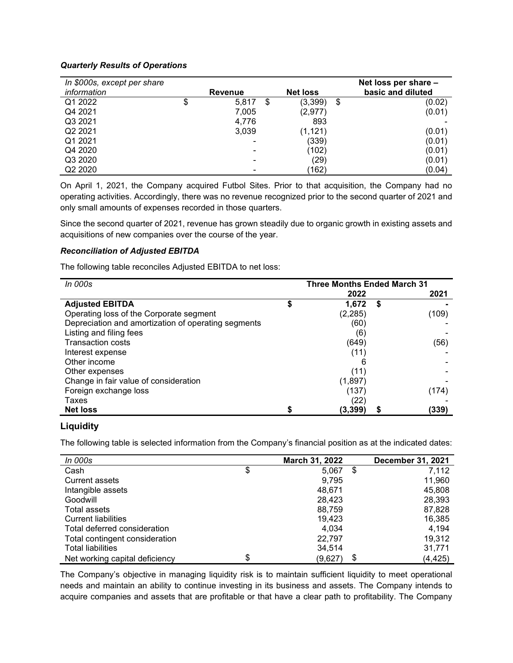#### *Quarterly Results of Operations*

| In \$000s, except per share |                |   |                 | Net loss per share - |
|-----------------------------|----------------|---|-----------------|----------------------|
| information                 | <b>Revenue</b> |   | <b>Net loss</b> | basic and diluted    |
| Q1 2022                     | \$<br>5,817    | S | (3, 399)        | \$<br>(0.02)         |
| Q4 2021                     | 7,005          |   | (2,977)         | (0.01)               |
| Q3 2021                     | 4,776          |   | 893             |                      |
| Q2 2021                     | 3,039          |   | (1, 121)        | (0.01)               |
| Q1 2021                     |                |   | (339)           | (0.01)               |
| Q4 2020                     |                |   | (102)           | (0.01)               |
| Q3 2020                     | -              |   | (29)            | (0.01)               |
| Q2 2020                     |                |   | (162)           | (0.04)               |

On April 1, 2021, the Company acquired Futbol Sites. Prior to that acquisition, the Company had no operating activities. Accordingly, there was no revenue recognized prior to the second quarter of 2021 and only small amounts of expenses recorded in those quarters.

Since the second quarter of 2021, revenue has grown steadily due to organic growth in existing assets and acquisitions of new companies over the course of the year.

#### *Reconciliation of Adjusted EBITDA*

The following table reconciles Adjusted EBITDA to net loss:

| <i>In 000s</i>                                      | <b>Three Months Ended March 31</b> |          |   |       |
|-----------------------------------------------------|------------------------------------|----------|---|-------|
|                                                     |                                    | 2022     |   | 2021  |
| <b>Adjusted EBITDA</b>                              |                                    | 1.672    | S |       |
| Operating loss of the Corporate segment             |                                    | (2, 285) |   | (109) |
| Depreciation and amortization of operating segments |                                    | (60)     |   |       |
| Listing and filing fees                             |                                    | (6)      |   |       |
| <b>Transaction costs</b>                            |                                    | (649)    |   | (56)  |
| Interest expense                                    |                                    | (11      |   |       |
| Other income                                        |                                    |          |   |       |
| Other expenses                                      |                                    | (11)     |   |       |
| Change in fair value of consideration               |                                    | (1, 897) |   |       |
| Foreign exchange loss                               |                                    | (137     |   | (174) |
| Taxes                                               |                                    | (22)     |   |       |
| <b>Net loss</b>                                     |                                    | (3,399)  |   | (339) |

### **Liquidity**

The following table is selected information from the Company's financial position as at the indicated dates:

| In 000s                        | March 31, 2022 | <b>December 31, 2021</b> |
|--------------------------------|----------------|--------------------------|
| Cash                           | \$<br>5,067    | \$<br>7,112              |
| <b>Current assets</b>          | 9,795          | 11,960                   |
| Intangible assets              | 48,671         | 45,808                   |
| Goodwill                       | 28.423         | 28,393                   |
| Total assets                   | 88,759         | 87,828                   |
| <b>Current liabilities</b>     | 19,423         | 16,385                   |
| Total deferred consideration   | 4.034          | 4.194                    |
| Total contingent consideration | 22,797         | 19,312                   |
| <b>Total liabilities</b>       | 34,514         | 31,771                   |
| Net working capital deficiency | \$<br>(9,627)  | \$<br>(4, 425)           |

The Company's objective in managing liquidity risk is to maintain sufficient liquidity to meet operational needs and maintain an ability to continue investing in its business and assets. The Company intends to acquire companies and assets that are profitable or that have a clear path to profitability. The Company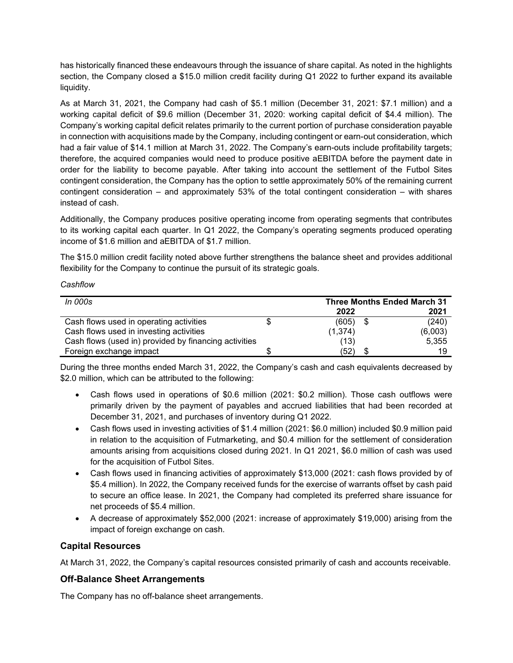has historically financed these endeavours through the issuance of share capital. As noted in the highlights section, the Company closed a \$15.0 million credit facility during Q1 2022 to further expand its available liquidity.

As at March 31, 2021, the Company had cash of \$5.1 million (December 31, 2021: \$7.1 million) and a working capital deficit of \$9.6 million (December 31, 2020: working capital deficit of \$4.4 million). The Company's working capital deficit relates primarily to the current portion of purchase consideration payable in connection with acquisitions made by the Company, including contingent or earn-out consideration, which had a fair value of \$14.1 million at March 31, 2022. The Company's earn-outs include profitability targets; therefore, the acquired companies would need to produce positive aEBITDA before the payment date in order for the liability to become payable. After taking into account the settlement of the Futbol Sites contingent consideration, the Company has the option to settle approximately 50% of the remaining current contingent consideration – and approximately 53% of the total contingent consideration – with shares instead of cash.

Additionally, the Company produces positive operating income from operating segments that contributes to its working capital each quarter. In Q1 2022, the Company's operating segments produced operating income of \$1.6 million and aEBITDA of \$1.7 million.

The \$15.0 million credit facility noted above further strengthens the balance sheet and provides additional flexibility for the Company to continue the pursuit of its strategic goals.

#### *Cashflow*

| <i>In 000s</i>                                        |  |          | <b>Three Months Ended March 31</b> |
|-------------------------------------------------------|--|----------|------------------------------------|
|                                                       |  | 2022     | 2021                               |
| Cash flows used in operating activities               |  | (605)    | \$<br>(240)                        |
| Cash flows used in investing activities               |  | (1, 374) | (6,003)                            |
| Cash flows (used in) provided by financing activities |  | (13)     | 5,355                              |
| Foreign exchange impact                               |  | (52)     | 19                                 |

During the three months ended March 31, 2022, the Company's cash and cash equivalents decreased by \$2.0 million, which can be attributed to the following:

- Cash flows used in operations of \$0.6 million (2021: \$0.2 million). Those cash outflows were primarily driven by the payment of payables and accrued liabilities that had been recorded at December 31, 2021, and purchases of inventory during Q1 2022.
- Cash flows used in investing activities of \$1.4 million (2021: \$6.0 million) included \$0.9 million paid in relation to the acquisition of Futmarketing, and \$0.4 million for the settlement of consideration amounts arising from acquisitions closed during 2021. In Q1 2021, \$6.0 million of cash was used for the acquisition of Futbol Sites.
- Cash flows used in financing activities of approximately \$13,000 (2021: cash flows provided by of \$5.4 million). In 2022, the Company received funds for the exercise of warrants offset by cash paid to secure an office lease. In 2021, the Company had completed its preferred share issuance for net proceeds of \$5.4 million.
- A decrease of approximately \$52,000 (2021: increase of approximately \$19,000) arising from the impact of foreign exchange on cash.

## **Capital Resources**

At March 31, 2022, the Company's capital resources consisted primarily of cash and accounts receivable.

## **Off-Balance Sheet Arrangements**

The Company has no off-balance sheet arrangements.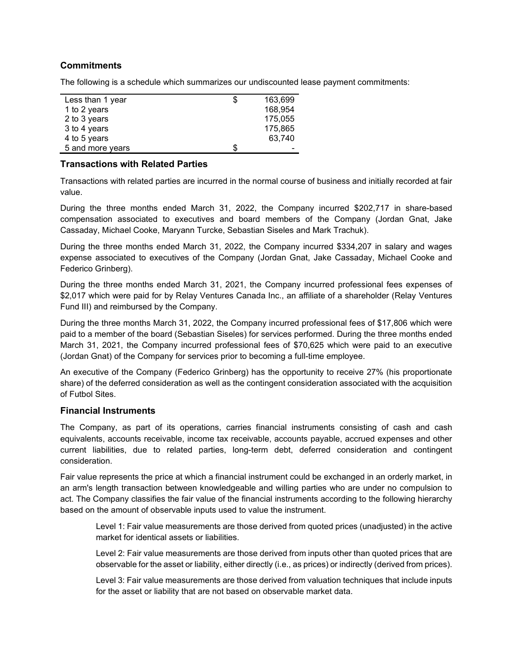## **Commitments**

The following is a schedule which summarizes our undiscounted lease payment commitments:

| Less than 1 year | \$ | 163,699 |
|------------------|----|---------|
| 1 to 2 years     |    | 168,954 |
| 2 to 3 years     |    | 175,055 |
| 3 to 4 years     |    | 175,865 |
| 4 to 5 years     |    | 63,740  |
| 5 and more years | S  |         |

#### **Transactions with Related Parties**

Transactions with related parties are incurred in the normal course of business and initially recorded at fair value.

During the three months ended March 31, 2022, the Company incurred \$202,717 in share-based compensation associated to executives and board members of the Company (Jordan Gnat, Jake Cassaday, Michael Cooke, Maryann Turcke, Sebastian Siseles and Mark Trachuk).

During the three months ended March 31, 2022, the Company incurred \$334,207 in salary and wages expense associated to executives of the Company (Jordan Gnat, Jake Cassaday, Michael Cooke and Federico Grinberg).

During the three months ended March 31, 2021, the Company incurred professional fees expenses of \$2,017 which were paid for by Relay Ventures Canada Inc., an affiliate of a shareholder (Relay Ventures Fund III) and reimbursed by the Company.

During the three months March 31, 2022, the Company incurred professional fees of \$17,806 which were paid to a member of the board (Sebastian Siseles) for services performed. During the three months ended March 31, 2021, the Company incurred professional fees of \$70,625 which were paid to an executive (Jordan Gnat) of the Company for services prior to becoming a full-time employee.

An executive of the Company (Federico Grinberg) has the opportunity to receive 27% (his proportionate share) of the deferred consideration as well as the contingent consideration associated with the acquisition of Futbol Sites.

### **Financial Instruments**

The Company, as part of its operations, carries financial instruments consisting of cash and cash equivalents, accounts receivable, income tax receivable, accounts payable, accrued expenses and other current liabilities, due to related parties, long-term debt, deferred consideration and contingent consideration.

Fair value represents the price at which a financial instrument could be exchanged in an orderly market, in an arm's length transaction between knowledgeable and willing parties who are under no compulsion to act. The Company classifies the fair value of the financial instruments according to the following hierarchy based on the amount of observable inputs used to value the instrument.

Level 1: Fair value measurements are those derived from quoted prices (unadjusted) in the active market for identical assets or liabilities.

Level 2: Fair value measurements are those derived from inputs other than quoted prices that are observable for the asset or liability, either directly (i.e., as prices) or indirectly (derived from prices).

Level 3: Fair value measurements are those derived from valuation techniques that include inputs for the asset or liability that are not based on observable market data.